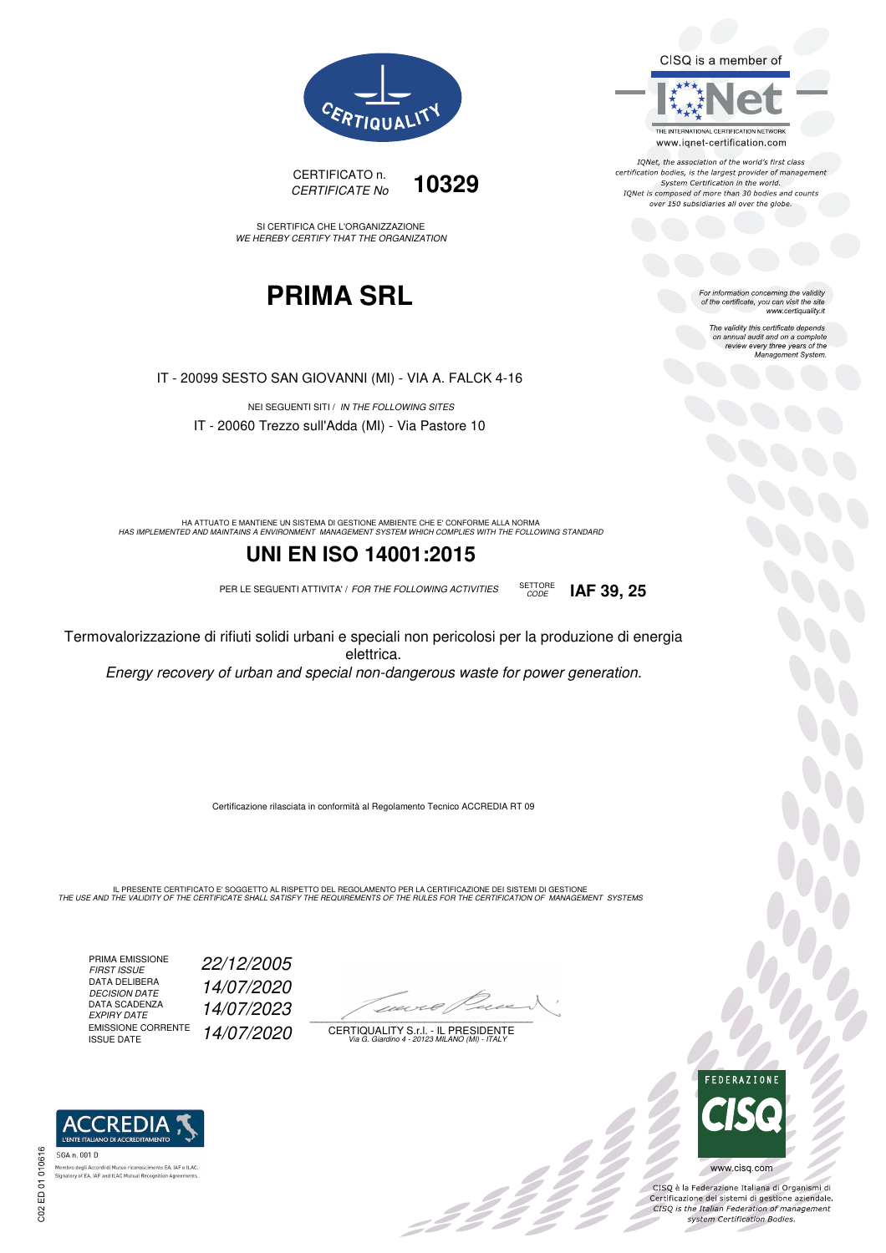CISQ is a member of



IQNet, the association of the world's first class certification bodies, is the largest provider of management System Certification in the world.<br>IQNet is composed of more than 30 bodies and counts over 150 subsidiaries all over the globe.

CODE **IAF 39, 25**

For information concerning the validity<br>of the certificate, you can visit the site www.certiquality.it

> The validity this certificate depends on annual audit and on a complete<br>on annual audit and on a complete<br>review every three years of the<br>Management System.





SI CERTIFICA CHE L'ORGANIZZAZIONE WE HEREBY CERTIFY THAT THE ORGANIZATION

## **PRIMA SRL**

IT - 20099 SESTO SAN GIOVANNI (MI) - VIA A. FALCK 4-16

NEI SEGUENTI SITI / IN THE FOLLOWING SITES IT - 20060 Trezzo sull'Adda (MI) - Via Pastore 10

HA ATTUATO E MANTIENE UN SISTEMA DI GESTIONE AMBIENTE CHE E' CONFORME ALLA NORMA<br>HAS IMPLEMENTED AND MAINTAINS A ENVIRONMENT MANAGEMENT SYSTEM WHICH COMPLIES WITH THE FOLLOWING STANDARD

### **UNI EN ISO 14001:2015**

PER LE SEGUENTI ATTIVITA' / FOR THE FOLLOWING ACTIVITIES SETTORE

Termovalorizzazione di rifiuti solidi urbani e speciali non pericolosi per la produzione di energia elettrica.

Energy recovery of urban and special non-dangerous waste for power generation.

Certificazione rilasciata in conformità al Regolamento Tecnico ACCREDIA RT 09

IL PRESENTE CERTIFICATO E' SOGGETTO AL RISPETTO DEL REGOLAMENTO PER LA CERTIFICAZIONE DEI SISTEMI DI GESTIONE<br>THE USE AND THE VALIDITY OF THE CERTIFICATE SHALL SATISFY THE REQUIREMENTS OF THE RULES FOR THE CERTIFICATION OF

PRIMA EMISSIONE FIRST ISSUE 22/12/2005 DATA DELIBERA DECISION DATE<br>DATA SCADENZA<br>EXPIRY DATE EMISSIONE CORRENTE<br>ISSUE DATE

DECISION DATE 14/07/2020

EXPIRY DATE 14/07/2023

14/07/2020

 $\overline{\phantom{a}}$ 

:42<sup>2</sup>

CERTIQUALITY S.r.l. - IL PRESIDENTE Via G. Giardino 4 - 20123 MILANO (MI) - ITALY



 $\frac{1}{2}$ 

www.cisq.com

CISO è la Federazione Italiana di Organismi di Crista e la Federazione Transma di Organismi di<br>Certificazione dei sistemi di gestione aziendale.<br>CISQ is the Italian Federation of management system Certification Bodies.